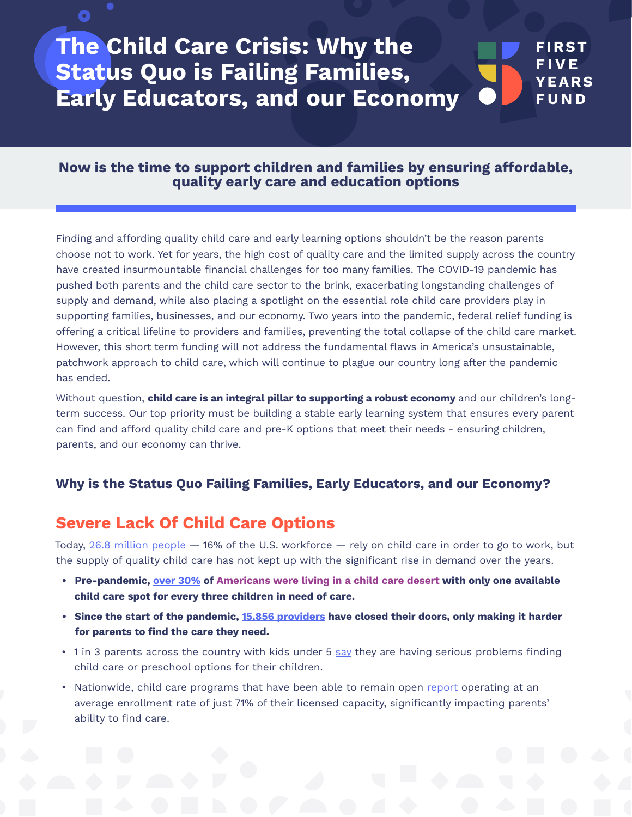#### **FIRST FIVE YEARS FUND The Child Care Crisis: Why the Status Quo is Failing Families, Early Educators, and our Economy**

#### **Now is the time to support children and families by ensuring affordable, quality early care and education options**

Finding and affording quality child care and early learning options shouldn't be the reason parents choose not to work. Yet for years, the high cost of quality care and the limited supply across the country have created insurmountable financial challenges for too many families. The COVID-19 pandemic has pushed both parents and the child care sector to the brink, exacerbating longstanding challenges of supply and demand, while also placing a spotlight on the essential role child care providers play in supporting families, businesses, and our economy. Two years into the pandemic, federal relief funding is offering a critical lifeline to providers and families, preventing the total collapse of the child care market. However, this short term funding will not address the fundamental flaws in America's unsustainable, patchwork approach to child care, which will continue to plague our country long after the pandemic has ended.

Without question, **child care is an integral pillar to supporting a robust economy** and our children's longterm success. Our top priority must be building a stable early learning system that ensures every parent can find and afford quality child care and pre-K options that meet their needs - ensuring children, parents, and our economy can thrive.

#### **Why is the Status Quo Failing Families, Early Educators, and our Economy?**

## **Severe Lack Of Child Care Options**

O

Today, [26.8 million people](https://www.fastcompany.com/90686678/the-high-price-of-parenting?utm_campaign=Care%40Work%20Newsletter&utm_medium=email&_hsenc=p2ANqtz--0_5s2-DruPkVLlNNVUuhkUs-l433Fmr4-hQOmQUBrWNDsRVj7fWjoGmX_PYmmKXRb6vR2XTWaAtmuOU0L2-eSvl6JmQ&_hsmi=189463091&utm_content=189463302&utm_source=hs_email&hsCtaTracking=d738cc7b-763f-4d42-bc2d-31057769d379%7C5237895d-e48b-473d-82d4-537a7733b2e4) - 16% of the U.S. workforce - rely on child care in order to go to work, but the supply of quality child care has not kept up with the significant rise in demand over the years.

- **• Pre-pandemic, [over 30%](https://childcaregap.org/) of Americans were living in a child care desert with only one available child care spot for every three children in need of care.**
- **• Since the start of the pandemic, [15,856 providers](https://www.childcareaware.org/demanding-change-repairing-our-child-care-system/) have closed their doors, only making it harder for parents to find the care they need.**
- 1 in 3 parents across the country with kids under 5 [say](https://media.npr.org/assets/img/2021/10/19/households-children-virus-poll.pdf) they are having serious problems finding child care or preschool options for their children.
- Nationwide, child care programs that have been able to remain open [report](https://www.naeyc.org/sites/default/files/globally-shared/downloads/PDFs/resources/blog/naeyc_july_2021_survey_progressperil_final.pdf) operating at an average enrollment rate of just 71% of their licensed capacity, significantly impacting parents' ability to find care.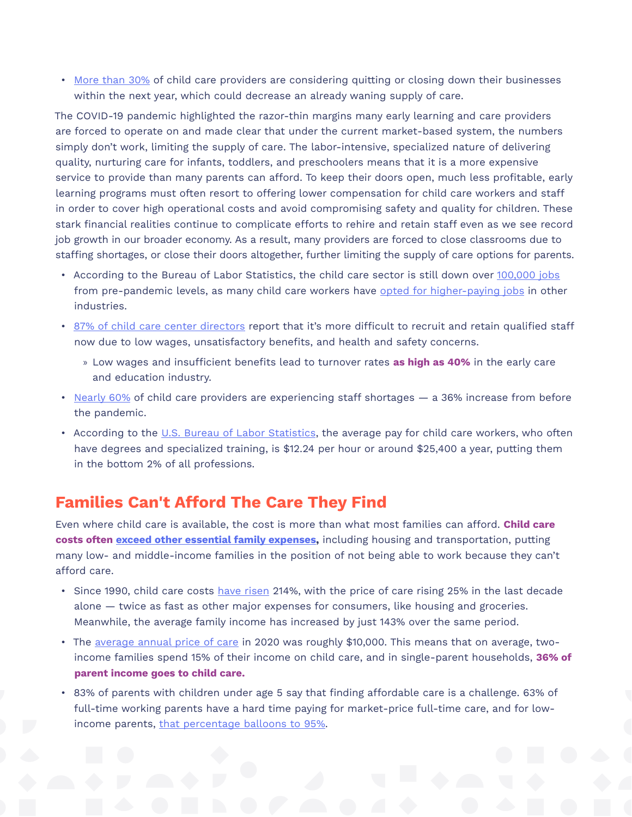• [More than 30%](https://www.naeyc.org/sites/default/files/wysiwyg/user-74/statedata_july2021_gf_092321.pdf) of child care providers are considering quitting or closing down their businesses within the next year, which could decrease an already waning supply of care.

The COVID-19 pandemic highlighted the razor-thin margins many early learning and care providers are forced to operate on and made clear that under the current market-based system, the numbers simply don't work, limiting the supply of care. The labor-intensive, specialized nature of delivering quality, nurturing care for infants, toddlers, and preschoolers means that it is a more expensive service to provide than many parents can afford. To keep their doors open, much less profitable, early learning programs must often resort to offering lower compensation for child care workers and staff in order to cover high operational costs and avoid compromising safety and quality for children. These stark financial realities continue to complicate efforts to rehire and retain staff even as we see record job growth in our broader economy. As a result, many providers are forced to close classrooms due to staffing shortages, or close their doors altogether, further limiting the supply of care options for parents.

- According to the Bureau of Labor Statistics, the child care sector is still down over [100,000 jobs](https://nwlc.org/wp-content/uploads/2022/02/January-Jobs-Day-updated.pdf) from pre-pandemic levels, as many child care workers have [opted for higher-paying jobs](https://www.washingtonpost.com/business/2021/09/19/childcare-workers-quit/) in other industries.
- [87% of child care center directors](https://static1.squarespace.com/static/5e7cf2f62c45da32f3c6065e/t/61a51257cb3aea5591b7aedd/1638208087990/child-care-shortages-nov2021.pdf) report that it's more difficult to recruit and retain qualified staff now due to low wages, unsatisfactory benefits, and health and safety concerns.
	- » Low wages and insufficient benefits lead to turnover rates **as high as 40%** in the early care and education industry.
- [Nearly 60%](https://static1.squarespace.com/static/5e7cf2f62c45da32f3c6065e/t/61a51257cb3aea5591b7aedd/1638208087990/child-care-shortages-nov2021.pdf) of child care providers are experiencing staff shortages a 36% increase from before the pandemic.
- According to the [U.S. Bureau of Labor Statistics,](https://www.bls.gov/ooh/personal-care-and-service/childcare-workers.htm) the average pay for child care workers, who often have degrees and specialized training, is \$12.24 per hour or around \$25,400 a year, putting them in the bottom 2% of all professions.

# **Families Can't Afford The Care They Find**

Even where child care is available, the cost is more than what most families can afford. **Child care costs often [exceed other essential family expenses](https://www.ffyf.org/latest-economic-data-underscores-the-need-for-significant-sustained-investment-in-child-care-and-early-learning/),** including housing and transportation, putting many low- and middle-income families in the position of not being able to work because they can't afford care.

- Since 1990, child care costs [have risen](https://www.ffyf.org/latest-economic-data-underscores-the-need-for-significant-sustained-investment-in-child-care-and-early-learning/) 214%, with the price of care rising 25% in the last decade alone — twice as fast as other major expenses for consumers, like housing and groceries. Meanwhile, the average family income has increased by just 143% over the same period.
- The [average annual price of care](https://info.childcareaware.org/hubfs/FINAL-Demanding%20Change%20Report-020322.pdf?utm_campaign=Budget%20Reconciliation%20Fall%202021&utm_source=website&utm_content=22_demandingchange_pdf) in 2020 was roughly \$10,000. This means that on average, twoincome families spend 15% of their income on child care, and in single-parent households, **36% of parent income goes to child care.**
- 83% of parents with children under age 5 say that finding affordable care is a challenge. 63% of full-time working parents have a hard time paying for market-price full-time care, and for lowincome parents, [that percentage balloons to 95%](https://cdn.americanprogress.org/content/uploads/2018/09/12074422/ChildCarePolling-report.pdf?_ga=2.44679650.772190550.1597753826-1702285494.1597753826.).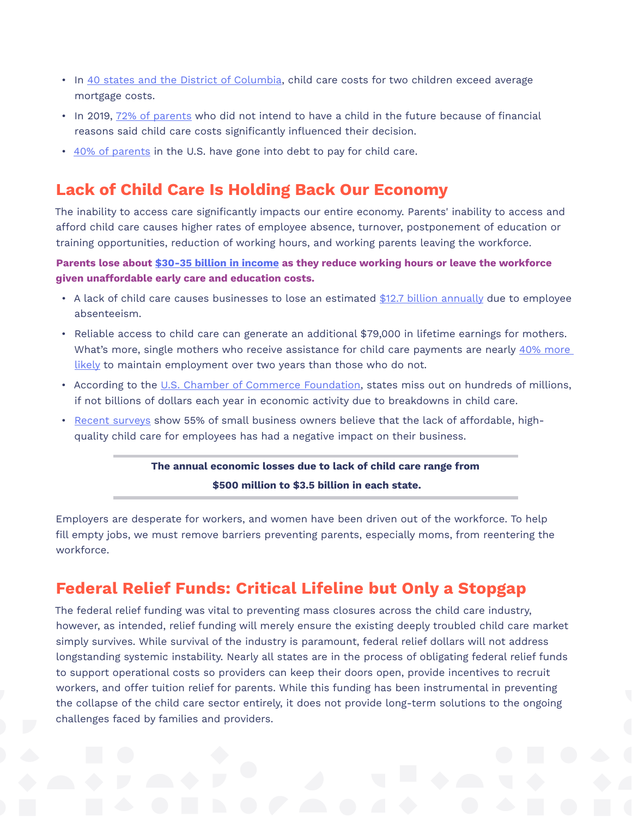- In [40 states and the District of Columbia](https://cdn2.hubspot.net/hubfs/3957809/2019%20Price%20of%20Care%20State%20Sheets/Final-TheUSandtheHighPriceofChildCare-AnExaminationofaBrokenSystem.pdf?utm_referrer=https%3A%2F%2Fwww.childcareaware.org%2F), child care costs for two children exceed average mortgage costs.
- In 2019, [72% of parents](https://bipartisanpolicy.org/report/child-care-gap/) who did not intend to have a child in the future because of financial reasons said child care costs significantly influenced their decision.
- [40% of parents](https://www.thepennyhoarder.com/save-money/child-care-costs/) in the U.S. have gone into debt to pay for child care.

# **Lack of Child Care Is Holding Back Our Economy**

The inability to access care significantly impacts our entire economy. Parents' inability to access and afford child care causes higher rates of employee absence, turnover, postponement of education or training opportunities, reduction of working hours, and working parents leaving the workforce.

**Parents lose about [\\$30-35 billion in income](https://www.epi.org/publication/whos-paying-now-costs-of-the-current-ece-system/) as they reduce working hours or leave the workforce given unaffordable early care and education costs.**

- A lack of child care causes businesses to lose an estimated [\\$12.7 billion annually](https://www.strongnation.org/articles/780-want-to-grow-the-economy-fix-the-child-care-crisis) due to employee absenteeism.
- Reliable access to child care can generate an additional \$79,000 in lifetime earnings for mothers. What's more, single mothers who receive assistance for child care payments are nearly 40% more [likely](https://www.americanprogress.org/article/the-importance-of-preschool-and-child-care-for-working-mothers/) to maintain employment over two years than those who do not.
- According to the [U.S. Chamber of Commerce Foundation](https://www.uschamberfoundation.org/reports/untapped-potential-economic-impact-childcare-breakdowns-us-states), states miss out on hundreds of millions, if not billions of dollars each year in economic activity due to breakdowns in child care.
- [Recent surveys](https://irp.cdn-website.com/b4559992/files/uploaded/SBAF_National%20Child%20Care%20Survey%20Report.pdf) show 55% of small business owners believe that the lack of affordable, highquality child care for employees has had a negative impact on their business.

### **The annual economic losses due to lack of child care range from**

**\$500 million to \$3.5 billion in each state.**

Employers are desperate for workers, and women have been driven out of the workforce. To help fill empty jobs, we must remove barriers preventing parents, especially moms, from reentering the workforce.

# **Federal Relief Funds: Critical Lifeline but Only a Stopgap**

The federal relief funding was vital to preventing mass closures across the child care industry, however, as intended, relief funding will merely ensure the existing deeply troubled child care market simply survives. While survival of the industry is paramount, federal relief dollars will not address longstanding systemic instability. Nearly all states are in the process of obligating federal relief funds to support operational costs so providers can keep their doors open, provide incentives to recruit workers, and offer tuition relief for parents. While this funding has been instrumental in preventing the collapse of the child care sector entirely, it does not provide long-term solutions to the ongoing challenges faced by families and providers.